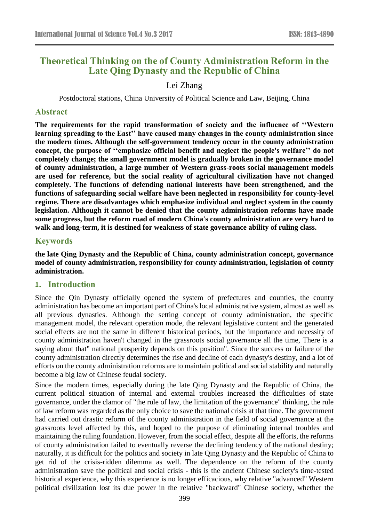# **Theoretical Thinking on the of County Administration Reform in the Late Qing Dynasty and the Republic of China**

## Lei Zhang

Postdoctoral stations, China University of Political Science and Law, Beijing, China

#### **Abstract**

**The requirements for the rapid transformation of society and the influence of ''Western learning spreading to the East'' have caused many changes in the county administration since the modern times. Although the self-government tendency occur in the county administration concept, the purpose of ''emphasize official benefit and neglect the people's welfare'' do not completely change; the small government model is gradually broken in the governance model of county administration, a large number of Western grass-roots social management models are used for reference, but the social reality of agricultural civilization have not changed completely. The functions of defending national interests have been strengthened, and the functions of safeguarding social welfare have been neglected in responsibility for county-level regime. There are disadvantages which emphasize individual and neglect system in the county legislation. Although it cannot be denied that the county administration reforms have made some progress, but the reform road of modern China's county administration are very hard to walk and long-term, it is destined for weakness of state governance ability of ruling class.**

### **Keywords**

**the late Qing Dynasty and the Republic of China, county administration concept, governance model of county administration, responsibility for county administration, legislation of county administration.** 

#### **1. Introduction**

Since the Qin Dynasty officially opened the system of prefectures and counties, the county administration has become an important part of China's local administrative system, almost as well as all previous dynasties. Although the setting concept of county administration, the specific management model, the relevant operation mode, the relevant legislative content and the generated social effects are not the same in different historical periods, but the importance and necessity of county administration haven't changed in the grassroots social governance all the time, There is a saying about that" national prosperity depends on this position". Since the success or failure of the county administration directly determines the rise and decline of each dynasty's destiny, and a lot of efforts on the county administration reforms are to maintain political and social stability and naturally become a big law of Chinese feudal society.

Since the modern times, especially during the late Qing Dynasty and the Republic of China, the current political situation of internal and external troubles increased the difficulties of state governance, under the clamor of "the rule of law, the limitation of the governance" thinking, the rule of law reform was regarded as the only choice to save the national crisis at that time. The government had carried out drastic reform of the county administration in the field of social governance at the grassroots level affected by this, and hoped to the purpose of eliminating internal troubles and maintaining the ruling foundation. However, from the social effect, despite all the efforts, the reforms of county administration failed to eventually reverse the declining tendency of the national destiny; naturally, it is difficult for the politics and society in late Qing Dynasty and the Republic of China to get rid of the crisis-ridden dilemma as well. The dependence on the reform of the county administration save the political and social crisis - this is the ancient Chinese society's time-tested historical experience, why this experience is no longer efficacious, why relative "advanced" Western political civilization lost its due power in the relative "backward" Chinese society, whether the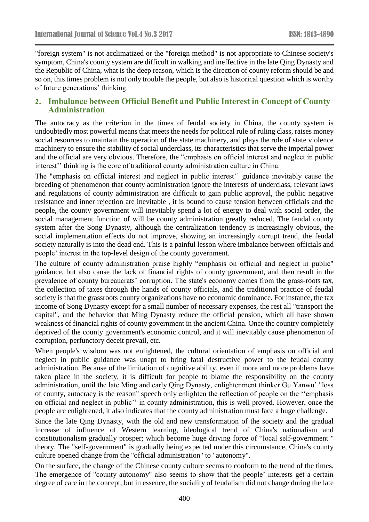"foreign system" is not acclimatized or the "foreign method" is not appropriate to Chinese society's symptom, China's county system are difficult in walking and ineffective in the late Qing Dynasty and the Republic of China, what is the deep reason, which is the direction of county reform should be and so on, this times problem is not only trouble the people, but also is historical question which is worthy of future generations' thinking.

### **2. Imbalance between Official Benefit and Public Interest in Concept of County Administration**

The autocracy as the criterion in the times of feudal society in China, the county system is undoubtedly most powerful means that meets the needs for political rule of ruling class, raises money social resources to maintain the operation of the state machinery, and plays the role of state violence machinery to ensure the stability of social underclass, its characteristics that serve the imperial power and the official are very obvious. Therefore, the "emphasis on official interest and neglect in public interest'' thinking is the core of traditional county administration culture in China.

The "emphasis on official interest and neglect in public interest'' guidance inevitably cause the breeding of phenomenon that county administration ignore the interests of underclass, relevant laws and regulations of county administration are difficult to gain public approval, the public negative resistance and inner rejection are inevitable , it is bound to cause tension between officials and the people, the county government will inevitably spend a lot of energy to deal with social order, the social management function of will be county administration greatly reduced. The feudal county system after the Song Dynasty, although the centralization tendency is increasingly obvious, the social implementation effects do not improve, showing an increasingly corrupt trend, the feudal society naturally is into the dead end. This is a painful lesson where imbalance between officials and people' interest in the top-level design of the county government.

The culture of county administration praise highly "emphasis on official and neglect in public" guidance, but also cause the lack of financial rights of county government, and then result in the prevalence of county bureaucrats' corruption. The state's economy comes from the grass-roots tax, the collection of taxes through the hands of county officials, and the traditional practice of feudal society is that the grassroots county organizations have no economic dominance. For instance, the tax income of Song Dynasty except for a small number of necessary expenses, the rest all "transport the capital", and the behavior that Ming Dynasty reduce the official pension, which all have shown weakness of financial rights of county government in the ancient China. Once the country completely deprived of the county government's economic control, and it will inevitably cause phenomenon of corruption, perfunctory deceit prevail, etc.

When people's wisdom was not enlightened, the cultural orientation of emphasis on official and neglect in public guidance was unapt to bring fatal destructive power to the feudal county administration. Because of the limitation of cognitive ability, even if more and more problems have taken place in the society, it is difficult for people to blame the responsibility on the county administration, until the late Ming and early Qing Dynasty, enlightenment thinker Gu Yanwu' "loss of county, autocracy is the reason" speech only enlighten the reflection of people on the ''emphasis on official and neglect in public'' in county administration, this is well proved. However, once the people are enlightened, it also indicates that the county administration must face a huge challenge.

Since the late Qing Dynasty, with the old and new transformation of the society and the gradual increase of influence of Western learning, ideological trend of China's nationalism and constitutionalism gradually prosper; which become huge driving force of "local self-government " theory. The "self-government" is gradually being expected under this circumstance, China's county culture opened change from the "official administration" to "autonomy".

On the surface, the change of the Chinese county culture seems to conform to the trend of the times. The emergence of "county autonomy" also seems to show that the people' interests get a certain degree of care in the concept, but in essence, the sociality of feudalism did not change during the late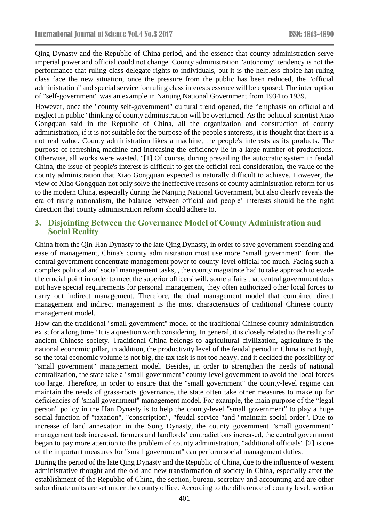Qing Dynasty and the Republic of China period, and the essence that county administration serve imperial power and official could not change. County administration "autonomy" tendency is not the performance that ruling class delegate rights to individuals, but it is the helpless choice hat ruling class face the new situation, once the pressure from the public has been reduced, the "official administration" and special service for ruling class interests essence will be exposed. The interruption of "self-government" was an example in Nanjing National Government from 1934 to 1939.

However, once the "county self-government" cultural trend opened, the "emphasis on official and neglect in public" thinking of county administration will be overturned. As the political scientist Xiao Gongquan said in the Republic of China, all the organization and construction of county administration, if it is not suitable for the purpose of the people's interests, it is thought that there is a not real value. County administration likes a machine, the people's interests as its products. The purpose of refreshing machine and increasing the efficiency lie in a large number of productions. Otherwise, all works were wasted. "[1] Of course, during prevailing the autocratic system in feudal China, the issue of people's interest is difficult to get the official real consideration, the value of the county administration that Xiao Gongquan expected is naturally difficult to achieve. However, the view of Xiao Gongquan not only solve the ineffective reasons of county administration reform for us to the modern China, especially during the Nanjing National Government, but also clearly reveals the era of rising nationalism, the balance between official and people' interests should be the right direction that county administration reform should adhere to.

## **3. Disjointing Between the Governance Model of County Administration and Social Reality**

China from the Qin-Han Dynasty to the late Qing Dynasty, in order to save government spending and ease of management, China's county administration most use more "small government" form, the central government concentrate management power to county-level official too much. Facing such a complex political and social management tasks, , the county magistrate had to take approach to evade the crucial point in order to meet the superior officers' will, some affairs that central government does not have special requirements for personal management, they often authorized other local forces to carry out indirect management. Therefore, the dual management model that combined direct management and indirect management is the most characteristics of traditional Chinese county management model.

How can the traditional "small government" model of the traditional Chinese county administration exist for a long time? It is a question worth considering. In general, it is closely related to the reality of ancient Chinese society. Traditional China belongs to agricultural civilization, agriculture is the national economic pillar, in addition, the productivity level of the feudal period in China is not high, so the total economic volume is not big, the tax task is not too heavy, and it decided the possibility of "small government" management model. Besides, in order to strengthen the needs of national centralization, the state take a "small government" county-level government to avoid the local forces too large. Therefore, in order to ensure that the "small government" the county-level regime can maintain the needs of grass-roots governance, the state often take other measures to make up for deficiencies of "small government" management model. For example, the main purpose of the "legal person" policy in the Han Dynasty is to help the county-level "small government" to play a huge social function of "taxation", "conscription", "feudal service "and "maintain social order". Due to increase of land annexation in the Song Dynasty, the county government "small government" management task increased, farmers and landlords' contradictions increased, the central government began to pay more attention to the problem of county administration, "additional officials" [2] is one of the important measures for "small government" can perform social management duties.

During the period of the late Qing Dynasty and the Republic of China, due to the influence of western administrative thought and the old and new transformation of society in China, especially after the establishment of the Republic of China, the section, bureau, secretary and accounting and are other subordinate units are set under the county office. According to the difference of county level, section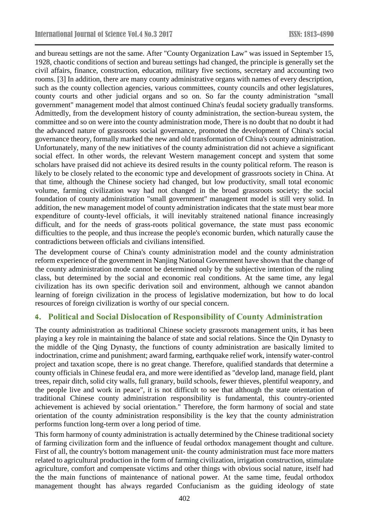and bureau settings are not the same. After "County Organization Law" was issued in September 15, 1928, chaotic conditions of section and bureau settings had changed, the principle is generally set the civil affairs, finance, construction, education, military five sections, secretary and accounting two rooms. [3] In addition, there are many county administrative organs with names of every description, such as the county collection agencies, various committees, county councils and other legislatures, county courts and other judicial organs and so on. So far the county administration "small government" management model that almost continued China's feudal society gradually transforms. Admittedly, from the development history of county administration, the section-bureau system, the committee and so on were into the county administration mode, There is no doubt that no doubt it had the advanced nature of grassroots social governance, promoted the development of China's social governance theory, formally marked the new and old transformation of China's county administration. Unfortunately, many of the new initiatives of the county administration did not achieve a significant social effect. In other words, the relevant Western management concept and system that some scholars have praised did not achieve its desired results in the county political reform. The reason is likely to be closely related to the economic type and development of grassroots society in China. At that time, although the Chinese society had changed, but low productivity, small total economic volume, farming civilization way had not changed in the broad grassroots society; the social foundation of county administration "small government" management model is still very solid. In addition, the new management model of county administration indicates that the state must bear more expenditure of county-level officials, it will inevitably straitened national finance increasingly difficult, and for the needs of grass-roots political governance, the state must pass economic difficulties to the people, and thus increase the people's economic burden, which naturally cause the contradictions between officials and civilians intensified.

The development course of China's county administration model and the county administration reform experience of the government in Nanjing National Government have shown that the change of the county administration mode cannot be determined only by the subjective intention of the ruling class, but determined by the social and economic real conditions. At the same time, any legal civilization has its own specific derivation soil and environment, although we cannot abandon learning of foreign civilization in the process of legislative modernization, but how to do local resources of foreign civilization is worthy of our special concern.

### **4. Political and Social Dislocation of Responsibility of County Administration**

The county administration as traditional Chinese society grassroots management units, it has been playing a key role in maintaining the balance of state and social relations. Since the Qin Dynasty to the middle of the Qing Dynasty, the functions of county administration are basically limited to indoctrination, crime and punishment; award farming, earthquake relief work, intensify water-control project and taxation scope, there is no great change. Therefore, qualified standards that determine a county officials in Chinese feudal era, and more were identified as "develop land, manage field, plant trees, repair ditch, solid city walls, full granary, build schools, fewer thieves, plentiful weaponry, and the people live and work in peace", it is not difficult to see that although the state orientation of traditional Chinese county administration responsibility is fundamental, this country-oriented achievement is achieved by social orientation." Therefore, the form harmony of social and state orientation of the county administration responsibility is the key that the county administration performs function long-term over a long period of time.

This form harmony of county administration is actually determined by the Chinese traditional society of farming civilization form and the influence of feudal orthodox management thought and culture. First of all, the country's bottom management unit- the county administration must face more matters related to agricultural production in the form of farming civilization, irrigation construction, stimulate agriculture, comfort and compensate victims and other things with obvious social nature, itself had the the main functions of maintenance of national power. At the same time, feudal orthodox management thought has always regarded Confucianism as the guiding ideology of state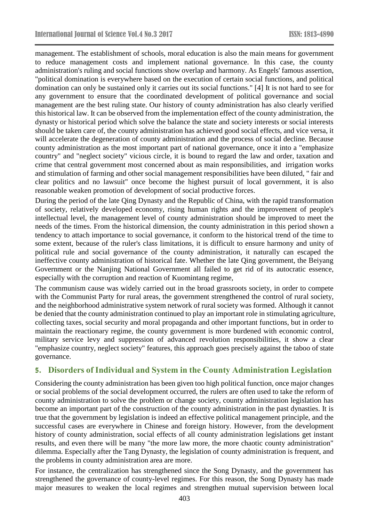management. The establishment of schools, moral education is also the main means for government to reduce management costs and implement national governance. In this case, the county administration's ruling and social functions show overlap and harmony. As Engels' famous assertion, "political domination is everywhere based on the execution of certain social functions, and political domination can only be sustained only it carries out its social functions." [4] It is not hard to see for any government to ensure that the coordinated development of political governance and social management are the best ruling state. Our history of county administration has also clearly verified this historical law. It can be observed from the implementation effect of the county administration, the dynasty or historical period which solve the balance the state and society interests or social interests should be taken care of, the county administration has achieved good social effects, and vice versa, it will accelerate the degeneration of county administration and the process of social decline. Because county administration as the most important part of national governance, once it into a "emphasize country" and "neglect society" vicious circle, it is bound to regard the law and order, taxation and crime that central government most concerned about as main responsibilities, and irrigation works and stimulation of farming and other social management responsibilities have been diluted, " fair and clear politics and no lawsuit" once become the highest pursuit of local government, it is also reasonable weaken promotion of development of social productive forces.

During the period of the late Qing Dynasty and the Republic of China, with the rapid transformation of society, relatively developed economy, rising human rights and the improvement of people's intellectual level, the management level of county administration should be improved to meet the needs of the times. From the historical dimension, the county administration in this period shown a tendency to attach importance to social governance, it conform to the historical trend of the time to some extent, because of the ruler's class limitations, it is difficult to ensure harmony and unity of political rule and social governance of the county administration, it naturally can escaped the ineffective county administration of historical fate. Whether the late Qing government, the Beiyang Government or the Nanjing National Government all failed to get rid of its autocratic essence, especially with the corruption and reaction of Kuomintang regime,

The communism cause was widely carried out in the broad grassroots society, in order to compete with the Communist Party for rural areas, the government strengthened the control of rural society, and the neighborhood administrative system network of rural society was formed. Although it cannot be denied that the county administration continued to play an important role in stimulating agriculture, collecting taxes, social security and moral propaganda and other important functions, but in order to maintain the reactionary regime, the county government is more burdened with economic control, military service levy and suppression of advanced revolution responsibilities, it show a clear "emphasize country, neglect society" features, this approach goes precisely against the taboo of state governance.

### **5. Disorders of Individual and System in the County Administration Legislation**

Considering the county administration has been given too high political function, once major changes or social problems of the social development occurred, the rulers are often used to take the reform of county administration to solve the problem or change society, county administration legislation has become an important part of the construction of the county administration in the past dynasties. It is true that the government by legislation is indeed an effective political management principle, and the successful cases are everywhere in Chinese and foreign history. However, from the development history of county administration, social effects of all county administration legislations get instant results, and even there will be many "the more law more, the more chaotic county administration" dilemma. Especially after the Tang Dynasty, the legislation of county administration is frequent, and the problems in county administration area are more.

For instance, the centralization has strengthened since the Song Dynasty, and the government has strengthened the governance of county-level regimes. For this reason, the Song Dynasty has made major measures to weaken the local regimes and strengthen mutual supervision between local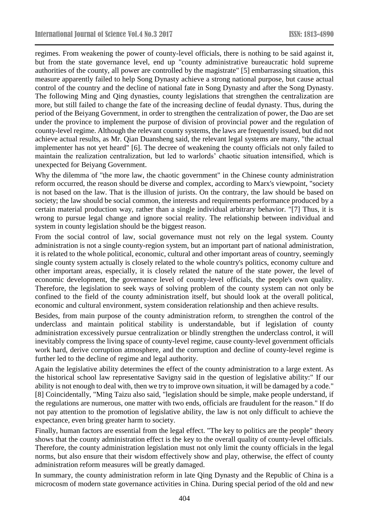regimes. From weakening the power of county-level officials, there is nothing to be said against it, but from the state governance level, end up "county administrative bureaucratic hold supreme authorities of the county, all power are controlled by the magistrate" [5] embarrassing situation, this measure apparently failed to help Song Dynasty achieve a strong national purpose, but cause actual control of the country and the decline of national fate in Song Dynasty and after the Song Dynasty. The following Ming and Qing dynasties, county legislations that strengthen the centralization are more, but still failed to change the fate of the increasing decline of feudal dynasty. Thus, during the period of the Beiyang Government, in order to strengthen the centralization of power, the Dao are set under the province to implement the purpose of division of provincial power and the regulation of county-level regime. Although the relevant county systems, the laws are frequently issued, but did not achieve actual results, as Mr. Qian Duansheng said, the relevant legal systems are many, "the actual implementer has not yet heard" [6]. The decree of weakening the county officials not only failed to maintain the realization centralization, but led to warlords' chaotic situation intensified, which is unexpected for Beiyang Government.

Why the dilemma of "the more law, the chaotic government" in the Chinese county administration reform occurred, the reason should be diverse and complex, according to Marx's viewpoint, "society is not based on the law. That is the illusion of jurists. On the contrary, the law should be based on society; the law should be social common, the interests and requirements performance produced by a certain material production way, rather than a single individual arbitrary behavior. "[7] Thus, it is wrong to pursue legal change and ignore social reality. The relationship between individual and system in county legislation should be the biggest reason.

From the social control of law, social governance must not rely on the legal system. County administration is not a single county-region system, but an important part of national administration, it is related to the whole political, economic, cultural and other important areas of country, seemingly single county system actually is closely related to the whole country's politics, economy culture and other important areas, especially, it is closely related the nature of the state power, the level of economic development, the governance level of county-level officials, the people's own quality. Therefore, the legislation to seek ways of solving problem of the county system can not only be confined to the field of the county administration itself, but should look at the overall political, economic and cultural environment, system consideration relationship and then achieve results.

Besides, from main purpose of the county administration reform, to strengthen the control of the underclass and maintain political stability is understandable, but if legislation of county administration excessively pursue centralization or blindly strengthen the underclass control, it will inevitably compress the living space of county-level regime, cause county-level government officials work hard, derive corruption atmosphere, and the corruption and decline of county-level regime is further led to the decline of regime and legal authority.

Again the legislative ability determines the effect of the county administration to a large extent. As the historical school law representative Savigny said in the question of legislative ability:" If our ability is not enough to deal with, then we try to improve own situation, it will be damaged by a code." [8] Coincidentally, "Ming Taizu also said, "legislation should be simple, make people understand, if the regulations are numerous, one matter with two ends, officials are fraudulent for the reason." If do not pay attention to the promotion of legislative ability, the law is not only difficult to achieve the expectance, even bring greater harm to society.

Finally, human factors are essential from the legal effect. "The key to politics are the people" theory shows that the county administration effect is the key to the overall quality of county-level officials. Therefore, the county administration legislation must not only limit the county officials in the legal norms, but also ensure that their wisdom effectively show and play, otherwise, the effect of county administration reform measures will be greatly damaged.

In summary, the county administration reform in late Qing Dynasty and the Republic of China is a microcosm of modern state governance activities in China. During special period of the old and new